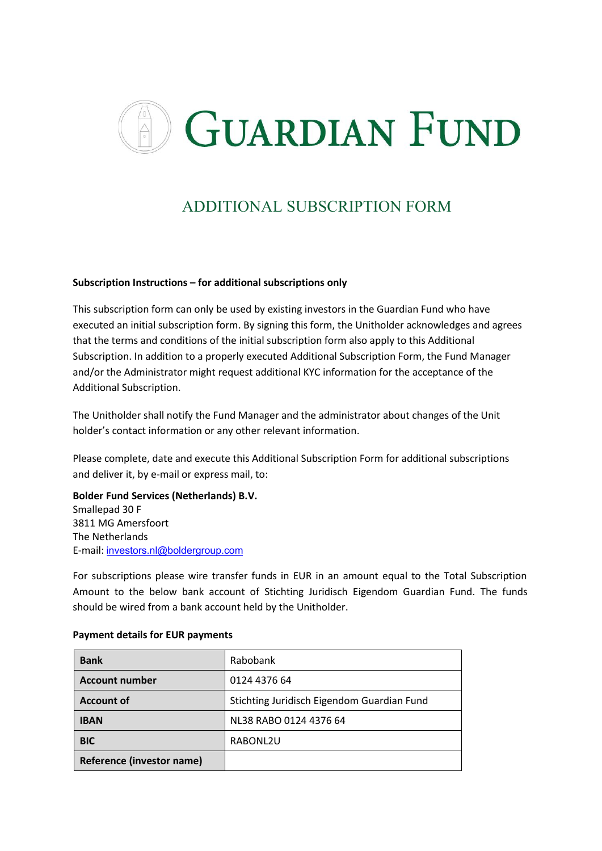

# ADDITIONAL SUBSCRIPTION FORM

# **Subscription Instructions – for additional subscriptions only**

This subscription form can only be used by existing investors in the Guardian Fund who have executed an initial subscription form. By signing this form, the Unitholder acknowledges and agrees that the terms and conditions of the initial subscription form also apply to this Additional Subscription. In addition to a properly executed Additional Subscription Form, the Fund Manager and/or the Administrator might request additional KYC information for the acceptance of the Additional Subscription.

The Unitholder shall notify the Fund Manager and the administrator about changes of the Unit holder's contact information or any other relevant information.

Please complete, date and execute this Additional Subscription Form for additional subscriptions and deliver it, by e-mail or express mail, to:

**Bolder Fund Services (Netherlands) B.V.** Smallepad 30 F 3811 MG Amersfoort The Netherlands E-mail: investors.nl@boldergroup.com

For subscriptions please wire transfer funds in EUR in an amount equal to the Total Subscription Amount to the below bank account of Stichting Juridisch Eigendom Guardian Fund. The funds should be wired from a bank account held by the Unitholder.

| <b>Bank</b>                      | Rabobank                                   |  |  |
|----------------------------------|--------------------------------------------|--|--|
| <b>Account number</b>            | 0124 4376 64                               |  |  |
| <b>Account of</b>                | Stichting Juridisch Eigendom Guardian Fund |  |  |
| <b>IBAN</b>                      | NL38 RABO 0124 4376 64                     |  |  |
| <b>BIC</b>                       | RABONL2U                                   |  |  |
| <b>Reference (investor name)</b> |                                            |  |  |

# **Payment details for EUR payments**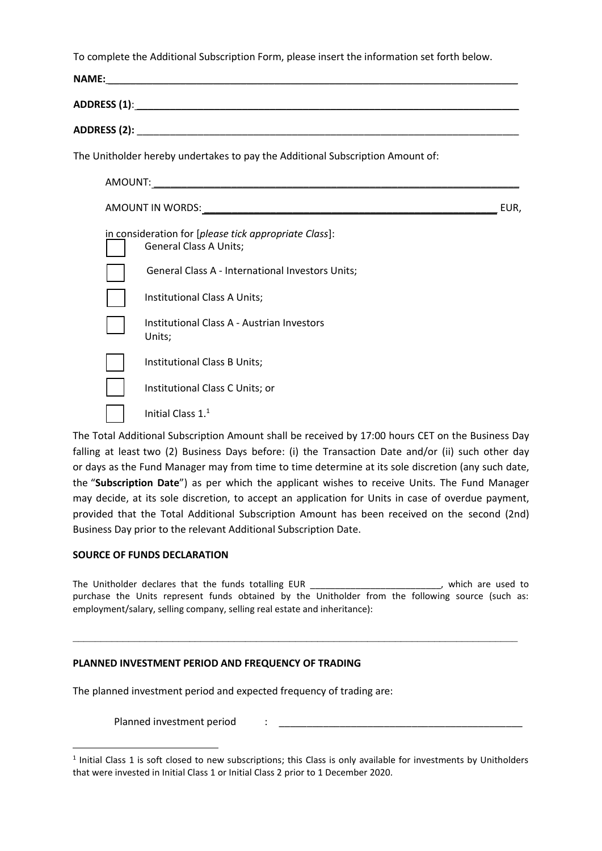To complete the Additional Subscription Form, please insert the information set forth below.

| <b>NAME:</b> |                                                                                        |      |
|--------------|----------------------------------------------------------------------------------------|------|
|              |                                                                                        |      |
|              |                                                                                        |      |
|              | The Unitholder hereby undertakes to pay the Additional Subscription Amount of:         |      |
|              |                                                                                        |      |
|              |                                                                                        | EUR. |
|              | in consideration for [please tick appropriate Class]:<br><b>General Class A Units;</b> |      |
|              | <b>General Class A - International Investors Units;</b>                                |      |
|              | Institutional Class A Units;                                                           |      |
|              | Institutional Class A - Austrian Investors<br>Units;                                   |      |
|              | Institutional Class B Units;                                                           |      |
|              | Institutional Class C Units; or                                                        |      |
|              | Initial Class $11$                                                                     |      |

The Total Additional Subscription Amount shall be received by 17:00 hours CET on the Business Day falling at least two (2) Business Days before: (i) the Transaction Date and/or (ii) such other day or days as the Fund Manager may from time to time determine at its sole discretion (any such date, the "**Subscription Date**") as per which the applicant wishes to receive Units. The Fund Manager may decide, at its sole discretion, to accept an application for Units in case of overdue payment, provided that the Total Additional Subscription Amount has been received on the second (2nd) Business Day prior to the relevant Additional Subscription Date.

# **SOURCE OF FUNDS DECLARATION**

The Unitholder declares that the funds totalling EUR \_\_\_\_\_\_\_\_\_\_\_\_\_\_\_\_\_\_\_\_\_\_\_\_\_, which are used to purchase the Units represent funds obtained by the Unitholder from the following source (such as: employment/salary, selling company, selling real estate and inheritance):

 $\mathcal{L}_\mathcal{L} = \{ \mathcal{L}_\mathcal{L} = \{ \mathcal{L}_\mathcal{L} = \{ \mathcal{L}_\mathcal{L} = \{ \mathcal{L}_\mathcal{L} = \{ \mathcal{L}_\mathcal{L} = \{ \mathcal{L}_\mathcal{L} = \{ \mathcal{L}_\mathcal{L} = \{ \mathcal{L}_\mathcal{L} = \{ \mathcal{L}_\mathcal{L} = \{ \mathcal{L}_\mathcal{L} = \{ \mathcal{L}_\mathcal{L} = \{ \mathcal{L}_\mathcal{L} = \{ \mathcal{L}_\mathcal{L} = \{ \mathcal{L}_\mathcal{$ 

# **PLANNED INVESTMENT PERIOD AND FREQUENCY OF TRADING**

The planned investment period and expected frequency of trading are:

Planned investment period :

 $<sup>1</sup>$  Initial Class 1 is soft closed to new subscriptions; this Class is only available for investments by Unitholders</sup> that were invested in Initial Class 1 or Initial Class 2 prior to 1 December 2020.